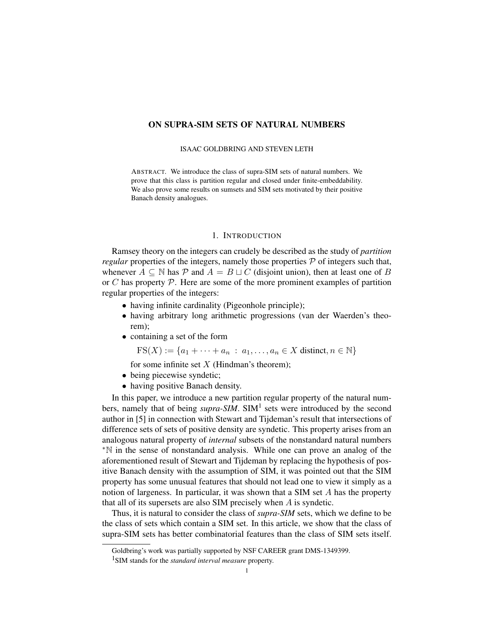# ON SUPRA-SIM SETS OF NATURAL NUMBERS

#### ISAAC GOLDBRING AND STEVEN LETH

ABSTRACT. We introduce the class of supra-SIM sets of natural numbers. We prove that this class is partition regular and closed under finite-embeddability. We also prove some results on sumsets and SIM sets motivated by their positive Banach density analogues.

## 1. INTRODUCTION

Ramsey theory on the integers can crudely be described as the study of *partition regular* properties of the integers, namely those properties  $P$  of integers such that, whenever  $A \subseteq \mathbb{N}$  has P and  $A = B \sqcup C$  (disjoint union), then at least one of B or C has property  $P$ . Here are some of the more prominent examples of partition regular properties of the integers:

- having infinite cardinality (Pigeonhole principle);
- having arbitrary long arithmetic progressions (van der Waerden's theorem);
- containing a set of the form

 $FS(X) := \{a_1 + \cdots + a_n : a_1, \ldots, a_n \in X \text{ distinct}, n \in \mathbb{N}\}\$ 

for some infinite set  $X$  (Hindman's theorem);

- being piecewise syndetic;
- having positive Banach density.

In this paper, we introduce a new partition regular property of the natural numbers, namely that of being *supra-SIM*. SIM<sup>1</sup> sets were introduced by the second author in [5] in connection with Stewart and Tijdeman's result that intersections of difference sets of sets of positive density are syndetic. This property arises from an analogous natural property of *internal* subsets of the nonstandard natural numbers <sup>∗</sup>N in the sense of nonstandard analysis. While one can prove an analog of the aforementioned result of Stewart and Tijdeman by replacing the hypothesis of positive Banach density with the assumption of SIM, it was pointed out that the SIM property has some unusual features that should not lead one to view it simply as a notion of largeness. In particular, it was shown that a SIM set A has the property that all of its supersets are also SIM precisely when  $A$  is syndetic.

Thus, it is natural to consider the class of *supra-SIM* sets, which we define to be the class of sets which contain a SIM set. In this article, we show that the class of supra-SIM sets has better combinatorial features than the class of SIM sets itself.

Goldbring's work was partially supported by NSF CAREER grant DMS-1349399.

<sup>1</sup>SIM stands for the *standard interval measure* property.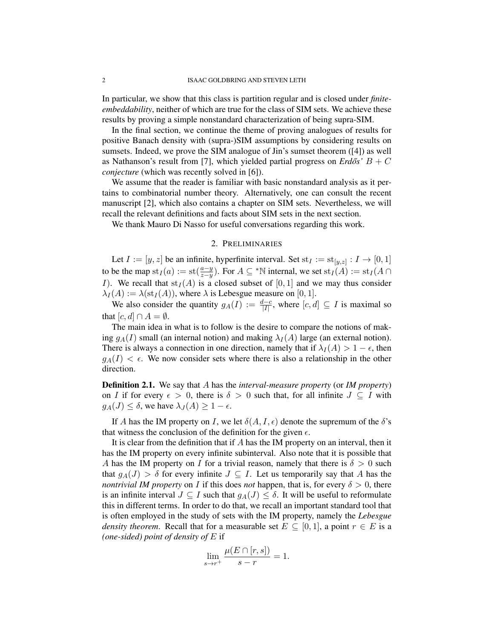In particular, we show that this class is partition regular and is closed under *finiteembeddability*, neither of which are true for the class of SIM sets. We achieve these results by proving a simple nonstandard characterization of being supra-SIM.

In the final section, we continue the theme of proving analogues of results for positive Banach density with (supra-)SIM assumptions by considering results on sumsets. Indeed, we prove the SIM analogue of Jin's sumset theorem ([4]) as well as Nathanson's result from [7], which yielded partial progress on  $Erd\delta s' B + C$ *conjecture* (which was recently solved in [6]).

We assume that the reader is familiar with basic nonstandard analysis as it pertains to combinatorial number theory. Alternatively, one can consult the recent manuscript [2], which also contains a chapter on SIM sets. Nevertheless, we will recall the relevant definitions and facts about SIM sets in the next section.

We thank Mauro Di Nasso for useful conversations regarding this work.

## 2. PRELIMINARIES

Let  $I := [y, z]$  be an infinite, hyperfinite interval. Set  $st_I := st_{[y,z]} : I \to [0,1]$ to be the map  $\text{st}_I(a) := \text{st}(\frac{a-y}{z-y})$ . For  $A \subseteq {}^*N$  internal, we set  $\text{st}_I(A) := \text{st}_I(A \cap$ I). We recall that  $\text{st}_I(A)$  is a closed subset of  $[0, 1]$  and we may thus consider  $\lambda_I(A) := \lambda(\text{st}_I(A))$ , where  $\lambda$  is Lebesgue measure on [0, 1].

We also consider the quantity  $g_A(I) := \frac{d-c}{|I|}$ , where  $[c, d] \subseteq I$  is maximal so that  $[c, d] \cap A = \emptyset$ .

The main idea in what is to follow is the desire to compare the notions of making  $g_A(I)$  small (an internal notion) and making  $\lambda_I(A)$  large (an external notion). There is always a connection in one direction, namely that if  $\lambda_I(A) > 1 - \epsilon$ , then  $g_A(I) < \epsilon$ . We now consider sets where there is also a relationship in the other direction.

Definition 2.1. We say that A has the *interval-measure property* (or *IM property*) on I if for every  $\epsilon > 0$ , there is  $\delta > 0$  such that, for all infinite  $J \subseteq I$  with  $g_A(J) \leq \delta$ , we have  $\lambda_J(A) \geq 1 - \epsilon$ .

If A has the IM property on I, we let  $\delta(A, I, \epsilon)$  denote the supremum of the  $\delta$ 's that witness the conclusion of the definition for the given  $\epsilon$ .

It is clear from the definition that if  $A$  has the IM property on an interval, then it has the IM property on every infinite subinterval. Also note that it is possible that A has the IM property on I for a trivial reason, namely that there is  $\delta > 0$  such that  $g_A(J) > \delta$  for every infinite  $J \subseteq I$ . Let us temporarily say that A has the *nontrivial IM property* on I if this does *not* happen, that is, for every  $\delta > 0$ , there is an infinite interval  $J \subseteq I$  such that  $g_A(J) \leq \delta$ . It will be useful to reformulate this in different terms. In order to do that, we recall an important standard tool that is often employed in the study of sets with the IM property, namely the *Lebesgue density theorem.* Recall that for a measurable set  $E \subseteq [0,1]$ , a point  $r \in E$  is a *(one-sided) point of density of* E if

$$
\lim_{s \to r^+} \frac{\mu(E \cap [r,s])}{s-r} = 1.
$$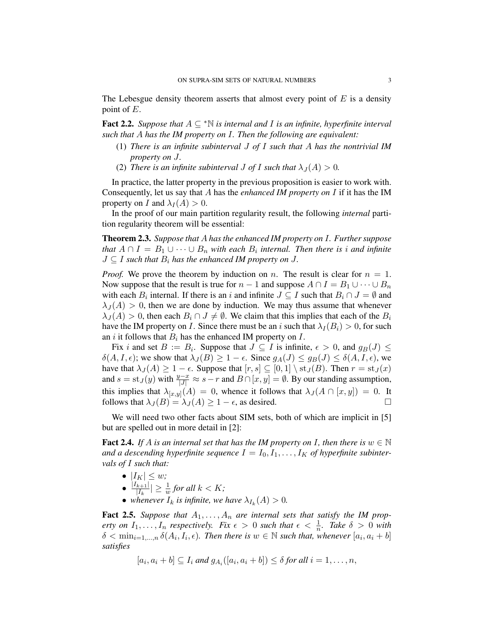The Lebesgue density theorem asserts that almost every point of  $E$  is a density point of E.

Fact 2.2. *Suppose that* A ⊆ <sup>∗</sup>N *is internal and* I *is an infinite, hyperfinite interval such that* A *has the IM property on* I*. Then the following are equivalent:*

- (1) *There is an infinite subinterval* J *of* I *such that* A *has the nontrivial IM property on* J*.*
- (2) *There is an infinite subinterval J of I such that*  $\lambda_J(A) > 0$ *.*

In practice, the latter property in the previous proposition is easier to work with. Consequently, let us say that A has the *enhanced IM property on* I if it has the IM property on I and  $\lambda_I(A) > 0$ .

In the proof of our main partition regularity result, the following *internal* partition regularity theorem will be essential:

Theorem 2.3. *Suppose that* A *has the enhanced IM property on* I*. Further suppose that*  $A \cap I = B_1 \cup \cdots \cup B_n$  *with each*  $B_i$  *internal. Then there is i and infinite*  $J \subseteq I$  *such that*  $B_i$  *has the enhanced IM property on J.* 

*Proof.* We prove the theorem by induction on n. The result is clear for  $n = 1$ . Now suppose that the result is true for  $n - 1$  and suppose  $A \cap I = B_1 \cup \cdots \cup B_n$ with each  $B_i$  internal. If there is an i and infinite  $J \subseteq I$  such that  $B_i \cap J = \emptyset$  and  $\lambda_J(A) > 0$ , then we are done by induction. We may thus assume that whenever  $\lambda_J(A) > 0$ , then each  $B_i \cap J \neq \emptyset$ . We claim that this implies that each of the  $B_i$ have the IM property on I. Since there must be an i such that  $\lambda_I (B_i) > 0$ , for such an i it follows that  $B_i$  has the enhanced IM property on  $I$ .

Fix i and set  $B := B_i$ . Suppose that  $J \subseteq I$  is infinite,  $\epsilon > 0$ , and  $g_B(J) \leq$  $\delta(A, I, \epsilon)$ ; we show that  $\lambda_J(B) \geq 1 - \epsilon$ . Since  $g_A(J) \leq g_B(J) \leq \delta(A, I, \epsilon)$ , we have that  $\lambda_J(A) \geq 1 - \epsilon$ . Suppose that  $[r, s] \subseteq [0, 1] \setminus \text{st}_J(B)$ . Then  $r = \text{st}_J(x)$ and  $s = st_J(y)$  with  $\frac{y-x}{|J|} \approx s-r$  and  $B \cap [x, y] = \emptyset$ . By our standing assumption, this implies that  $\lambda_{[x,y]}(A) = 0$ , whence it follows that  $\lambda_J(A \cap [x,y]) = 0$ . It follows that  $\lambda_J(B) = \lambda_J(A) \geq 1 - \epsilon$ , as desired.

We will need two other facts about SIM sets, both of which are implicit in [5] but are spelled out in more detail in [2]:

**Fact 2.4.** *If* A *is an internal set that has the IM property on I, then there is*  $w \in \mathbb{N}$ and a descending hyperfinite sequence  $I = I_0, I_1, \ldots, I_K$  of hyperfinite subinter*vals of* I *such that:*

- $\bullet$   $|I_K| \leq w;$  $\bullet$   $\frac{|I_{k+1}|}{|I_k|}$  $\frac{|k+1|}{|I_k|} \geq \frac{1}{w}$  for all  $k < K$ ;
- whenever  $I_k$  is infinite, we have  $\lambda_{I_k}(A) > 0$ .

**Fact 2.5.** Suppose that  $A_1, \ldots, A_n$  are internal sets that satisfy the IM prop*erty on*  $I_1, \ldots, I_n$  *respectively. Fix*  $\epsilon > 0$  *such that*  $\epsilon < \frac{1}{n}$ *. Take*  $\delta > 0$  *with*  $\delta < \min_{i=1,...,n} \delta(A_i, I_i, \epsilon)$ . Then there is  $w \in \mathbb{N}$  such that, whenever  $[a_i, a_i + b]$ *satisfies*

$$
[a_i, a_i + b] \subseteq I_i \text{ and } g_{A_i}([a_i, a_i + b]) \leq \delta \text{ for all } i = 1, \ldots, n,
$$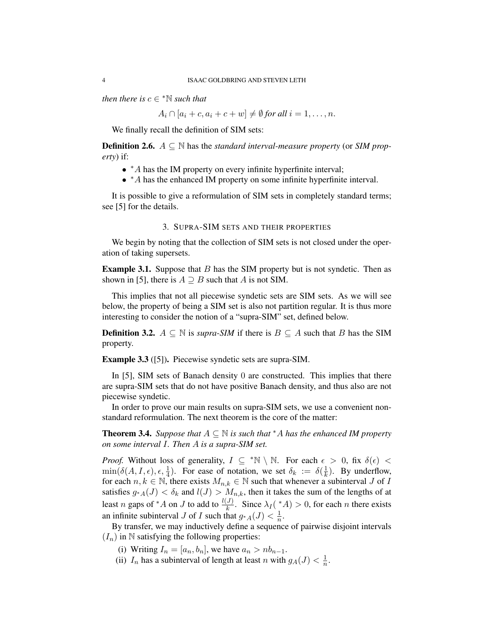*then there is*  $c \in \mathbb{N}$  *such that* 

 $A_i \cap [a_i + c, a_i + c + w] \neq \emptyset$  for all  $i = 1, \ldots, n$ .

We finally recall the definition of SIM sets:

**Definition 2.6.**  $A \subseteq \mathbb{N}$  has the *standard interval-measure property* (or *SIM property*) if:

- <sup>∗</sup>A has the IM property on every infinite hyperfinite interval;
- <sup>∗</sup>A has the enhanced IM property on some infinite hyperfinite interval.

It is possible to give a reformulation of SIM sets in completely standard terms; see [5] for the details.

### 3. SUPRA-SIM SETS AND THEIR PROPERTIES

We begin by noting that the collection of SIM sets is not closed under the operation of taking supersets.

**Example 3.1.** Suppose that  $B$  has the SIM property but is not syndetic. Then as shown in [5], there is  $A \supseteq B$  such that A is not SIM.

This implies that not all piecewise syndetic sets are SIM sets. As we will see below, the property of being a SIM set is also not partition regular. It is thus more interesting to consider the notion of a "supra-SIM" set, defined below.

**Definition 3.2.**  $A ⊆ ℕ$  is *supra-SIM* if there is  $B ⊆ A$  such that B has the SIM property.

Example 3.3 ([5]). Piecewise syndetic sets are supra-SIM.

In [5], SIM sets of Banach density 0 are constructed. This implies that there are supra-SIM sets that do not have positive Banach density, and thus also are not piecewise syndetic.

In order to prove our main results on supra-SIM sets, we use a convenient nonstandard reformulation. The next theorem is the core of the matter:

**Theorem 3.4.** *Suppose that*  $A \subseteq \mathbb{N}$  *is such that*  $^*A$  *has the enhanced IM property on some interval* I*. Then* A *is a supra-SIM set.*

*Proof.* Without loss of generality,  $I \subseteq {}^*\mathbb{N} \setminus \mathbb{N}$ . For each  $\epsilon > 0$ , fix  $\delta(\epsilon) <$  $\min(\delta(A, I, \epsilon), \epsilon, \frac{1}{4})$ . For ease of notation, we set  $\delta_k := \delta(\frac{1}{k})$  $\frac{1}{k}$ ). By underflow, for each  $n, k \in \mathbb{N}$ , there exists  $M_{n,k} \in \mathbb{N}$  such that whenever a subinterval J of I satisfies  $g_{*A}(J) < \delta_k$  and  $l(J) > M_{n,k}$ , then it takes the sum of the lengths of at least *n* gaps of \**A* on *J* to add to  $\frac{l(J)}{k}$ . Since  $\lambda_I(\gamma_A^*A) > 0$ , for each *n* there exists an infinite subinterval J of I such that  $g_{A}(J) < \frac{1}{n}$  $\frac{1}{n}$ .

By transfer, we may inductively define a sequence of pairwise disjoint intervals  $(I_n)$  in N satisfying the following properties:

(i) Writing  $I_n = [a_n, b_n]$ , we have  $a_n > nb_{n-1}$ .

(ii)  $I_n$  has a subinterval of length at least n with  $g_A(J) < \frac{1}{n}$  $\frac{1}{n}$ .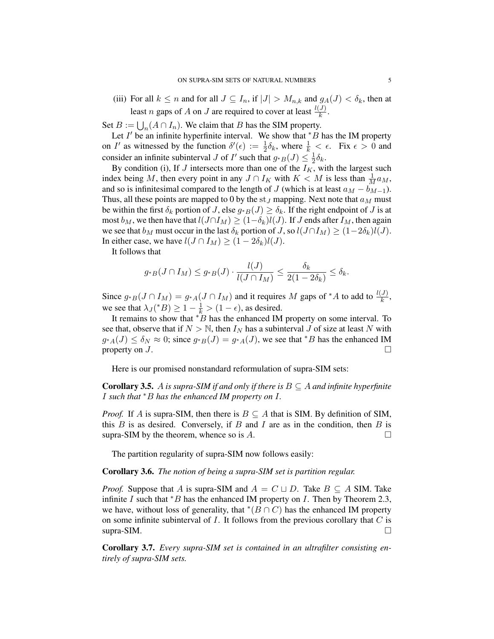(iii) For all  $k \leq n$  and for all  $J \subseteq I_n$ , if  $|J| > M_{n,k}$  and  $g_A(J) < \delta_k$ , then at least *n* gaps of *A* on *J* are required to cover at least  $\frac{l(J)}{k}$ .

Set  $B := \bigcup_n (A \cap I_n)$ . We claim that B has the SIM property.

Let  $I'$  be an infinite hyperfinite interval. We show that  $*B$  has the IM property on I' as witnessed by the function  $\delta'(\epsilon) := \frac{1}{2}\delta_k$ , where  $\frac{1}{k} < \epsilon$ . Fix  $\epsilon > 0$  and consider an infinite subinterval J of I' such that  $g_{*B}(J) \leq \frac{1}{2}$  $rac{1}{2}\delta_k$ .

By condition (i), If  $J$  intersects more than one of the  $I_K$ , with the largest such index being M, then every point in any  $J \cap I_K$  with  $K < M$  is less than  $\frac{1}{M} a_M$ , and so is infinitesimal compared to the length of J (which is at least  $a_M - b_{M-1}$ ). Thus, all these points are mapped to 0 by the st<sub>J</sub> mapping. Next note that  $a_M$  must be within the first  $\delta_k$  portion of J, else  $g *_{B}(J) \geq \delta_k$ . If the right endpoint of J is at most  $b_M$ , we then have that  $l(J \cap I_M) \geq (1-\delta_k)l(J)$ . If J ends after  $I_M$ , then again we see that  $b_M$  must occur in the last  $\delta_k$  portion of J, so  $l(J \cap I_M) \geq (1-2\delta_k)l(J)$ . In either case, we have  $l(J \cap I_M) \geq (1 - 2\delta_k)l(J)$ .

It follows that

$$
g_{*B}(J \cap I_M) \le g_{*B}(J) \cdot \frac{l(J)}{l(J \cap I_M)} \le \frac{\delta_k}{2(1-2\delta_k)} \le \delta_k.
$$

Since  $g_{*B}(J \cap I_M) = g_{*A}(J \cap I_M)$  and it requires M gaps of \*A to add to  $\frac{l(J)}{k}$ , we see that  $\lambda_J({}^*B) \geq 1 - \frac{1}{k} > (1 - \epsilon)$ , as desired.

It remains to show that  $*B$  has the enhanced IM property on some interval. To see that, observe that if  $N > N$ , then  $I_N$  has a subinterval J of size at least N with  $g_{*A}(J) \le \delta_N \approx 0$ ; since  $g_{*B}(J) = g_{*A}(J)$ , we see that \*B has the enhanced IM property on  $J$ .

Here is our promised nonstandard reformulation of supra-SIM sets:

**Corollary 3.5.** A *is supra-SIM if and only if there is*  $B \subseteq A$  *and infinite hyperfinite* I *such that* <sup>∗</sup>B *has the enhanced IM property on* I*.*

*Proof.* If A is supra-SIM, then there is  $B \subseteq A$  that is SIM. By definition of SIM, this  $B$  is as desired. Conversely, if  $B$  and  $I$  are as in the condition, then  $B$  is supra-SIM by the theorem, whence so is  $A$ .

The partition regularity of supra-SIM now follows easily:

Corollary 3.6. *The notion of being a supra-SIM set is partition regular.*

*Proof.* Suppose that A is supra-SIM and  $A = C \sqcup D$ . Take  $B \subseteq A$  SIM. Take infinite I such that  $*B$  has the enhanced IM property on I. Then by Theorem 2.3, we have, without loss of generality, that  $*(\overline{B} \cap C)$  has the enhanced IM property on some infinite subinterval of  $I$ . It follows from the previous corollary that  $C$  is  $\Box$ supra-SIM.

Corollary 3.7. *Every supra-SIM set is contained in an ultrafilter consisting entirely of supra-SIM sets.*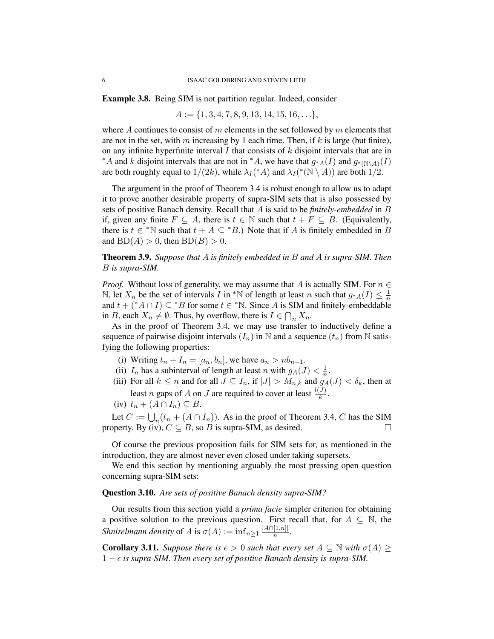Example 3.8. Being SIM is not partition regular. Indeed, consider

$$
A := \{1, 3, 4, 7, 8, 9, 13, 14, 15, 16, \ldots\},\
$$

where A continues to consist of m elements in the set followed by m elements that are not in the set, with m increasing by 1 each time. Then, if k is large (but finite), on any infinite hyperfinite interval  $I$  that consists of  $k$  disjoint intervals that are in \*A and k disjoint intervals that are not in \*A, we have that  $g_{*A}(I)$  and  $g_{*}(\mathbb{N}\setminus A)(I)$ are both roughly equal to  $1/(2k)$ , while  $\lambda_I({^*A})$  and  $\lambda_I({^*N} \setminus A)$  are both  $1/2$ .

The argument in the proof of Theorem 3.4 is robust enough to allow us to adapt it to prove another desirable property of supra-SIM sets that is also possessed by sets of positive Banach density. Recall that A is said to be *finitely-embedded* in B if, given any finite  $F \subseteq A$ , there is  $t \in \mathbb{N}$  such that  $t + F \subseteq B$ . (Equivalently, there is  $t \in {}^{\ast} \mathbb{N}$  such that  $t + A \subseteq {}^{\ast} B$ .) Note that if A is finitely embedded in B and  $BD(A) > 0$ , then  $BD(B) > 0$ .

Theorem 3.9. *Suppose that* A *is finitely embedded in* B *and* A *is supra-SIM. Then* B *is supra-SIM.*

*Proof.* Without loss of generality, we may assume that A is actually SIM. For  $n \in$ N, let  $X_n$  be the set of intervals I in \*N of length at least n such that  $g_{A}(I) \leq \frac{1}{n}$  $\overline{n}$ and  $t + (*A \cap I) \subseteq *B$  for some  $t \in *N$ . Since A is SIM and finitely-embeddable in B, each  $X_n \neq \emptyset$ . Thus, by overflow, there is  $I \in \bigcap_n X_n$ .

As in the proof of Theorem 3.4, we may use transfer to inductively define a sequence of pairwise disjoint intervals  $(I_n)$  in N and a sequence  $(t_n)$  from N satisfying the following properties:

- (i) Writing  $t_n + I_n = [a_n, b_n]$ , we have  $a_n > nb_{n-1}$ .
- (ii)  $I_n$  has a subinterval of length at least n with  $g_A(J) < \frac{1}{n}$  $\frac{1}{n}$ .
- (iii) For all  $k \le n$  and for all  $J \subseteq I_n$ , if  $|J| > M_{n,k}$  and  $g_A(I) < \delta_k$ , then at least *n* gaps of *A* on *J* are required to cover at least  $\frac{l(J)}{k}$ .
- (iv)  $t_n + (A \cap I_n) \subseteq B$ .

Let  $C := \bigcup_n (t_n + (A \cap I_n))$ . As in the proof of Theorem 3.4, C has the SIM property. By (iv),  $C \subseteq B$ , so B is supra-SIM, as desired.

Of course the previous proposition fails for SIM sets for, as mentioned in the introduction, they are almost never even closed under taking supersets.

We end this section by mentioning arguably the most pressing open question concerning supra-SIM sets:

# Question 3.10. *Are sets of positive Banach density supra-SIM?*

Our results from this section yield a *prima facie* simpler criterion for obtaining a positive solution to the previous question. First recall that, for  $A \subseteq \mathbb{N}$ , the *Shnirelmann density* of A is  $\sigma(A) := \inf_{n \geq 1} \frac{|A \cap [1,n]|}{n}$  $\frac{[1,n]|}{n}$ .

**Corollary 3.11.** *Suppose there is*  $\epsilon > 0$  *such that every set*  $A \subseteq \mathbb{N}$  *with*  $\sigma(A) \geq$  $1 - \epsilon$  is supra-SIM. Then every set of positive Banach density is supra-SIM.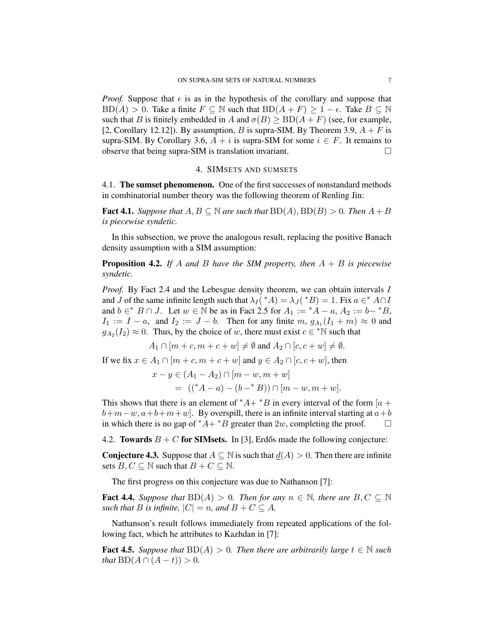*Proof.* Suppose that  $\epsilon$  is as in the hypothesis of the corollary and suppose that  $BD(A) > 0$ . Take a finite  $F \subseteq \mathbb{N}$  such that  $BD(A + F) \geq 1 - \epsilon$ . Take  $B \subseteq \mathbb{N}$ such that B is finitely embedded in A and  $\sigma(B) \ge BD(A + F)$  (see, for example, [2, Corollary 12.12]). By assumption, B is supra-SIM. By Theorem 3.9,  $A + F$  is supra-SIM. By Corollary 3.6,  $A + i$  is supra-SIM for some  $i \in F$ . It remains to observe that being supra-SIM is translation invariant.

## 4. SIMSETS AND SUMSETS

4.1. The sumset phenomenon. One of the first successes of nonstandard methods in combinatorial number theory was the following theorem of Renling Jin:

**Fact 4.1.** Suppose that  $A, B \subseteq \mathbb{N}$  are such that  $BD(A), BD(B) > 0$ . Then  $A + B$ *is piecewise syndetic.*

In this subsection, we prove the analogous result, replacing the positive Banach density assumption with a SIM assumption:

Proposition 4.2. *If* A *and* B *have the SIM property, then* A + B *is piecewise syndetic.*

*Proof.* By Fact 2.4 and the Lebesgue density theorem, we can obtain intervals I and J of the same infinite length such that  $\lambda_I({*}A) = \lambda_J({*}B) = 1$ . Fix  $a \in A \cap I$ and  $b \in B \cap J$ . Let  $w \in \mathbb{N}$  be as in Fact 2.5 for  $A_1 := {}^*A - a$ ,  $A_2 := b - {}^*B$ ,  $I_1 := I - a$ , and  $I_2 := J - b$ . Then for any finite  $m$ ,  $g_{A_1}(I_1 + m) \approx 0$  and  $g_{A_2}(I_2) \approx 0$ . Thus, by the choice of w, there must exist  $c \in \mathbb{N}$  such that

$$
A_1 \cap [m+c, m+c+w] \neq \emptyset \text{ and } A_2 \cap [c, c+w] \neq \emptyset.
$$

If we fix  $x \in A_1 \cap [m+c, m+c+w]$  and  $y \in A_2 \cap [c, c+w]$ , then

$$
x - y \in (A_1 - A_2) \cap [m - w, m + w]
$$
  
= ((\*A - a) - (b - \* B)) \cap [m - w, m + w].

This shows that there is an element of  $^*A + ^*B$  in every interval of the form [a +  $b+m-w, a+b+m+w$ . By overspill, there is an infinite interval starting at  $a+b$ in which there is no gap of  $*A + B$  greater than 2w, completing the proof.

4.2. Towards  $B + C$  for SIMsets. In [3], Erdős made the following conjecture:

**Conjecture 4.3.** Suppose that  $A \subseteq \mathbb{N}$  is such that  $d(A) > 0$ . Then there are infinite sets  $B, C \subseteq \mathbb{N}$  such that  $B + C \subseteq \mathbb{N}$ .

The first progress on this conjecture was due to Nathanson [7]:

**Fact 4.4.** Suppose that  $BD(A) > 0$ . Then for any  $n \in \mathbb{N}$ , there are  $B, C \subseteq \mathbb{N}$ *such that B is infinite,*  $|C| = n$ *, and*  $B + C \subseteq A$ *.* 

Nathanson's result follows immediately from repeated applications of the following fact, which he attributes to Kazhdan in [7]:

**Fact 4.5.** Suppose that  $BD(A) > 0$ . Then there are arbitrarily large  $t \in \mathbb{N}$  such *that*  $BD(A \cap (A - t)) > 0$ .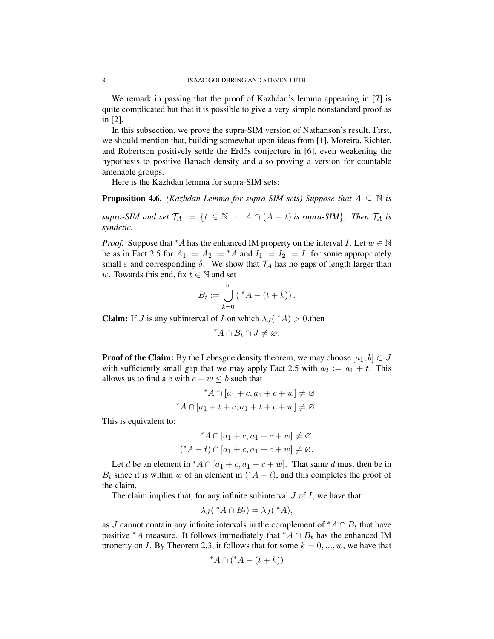We remark in passing that the proof of Kazhdan's lemma appearing in [7] is quite complicated but that it is possible to give a very simple nonstandard proof as in [2].

In this subsection, we prove the supra-SIM version of Nathanson's result. First, we should mention that, building somewhat upon ideas from [1], Moreira, Richter, and Robertson positively settle the Erdős conjecture in  $[6]$ , even weakening the hypothesis to positive Banach density and also proving a version for countable amenable groups.

Here is the Kazhdan lemma for supra-SIM sets:

**Proposition 4.6.** *(Kazhdan Lemma for supra-SIM sets) Suppose that*  $A \subseteq \mathbb{N}$  *is* 

*supra-SIM and set*  $\mathcal{T}_A := \{t \in \mathbb{N} : A \cap (A - t)$  *is supra-SIM*}*. Then*  $\mathcal{T}_A$  *is syndetic.*

*Proof.* Suppose that \*A has the enhanced IM property on the interval I. Let  $w \in \mathbb{N}$ be as in Fact 2.5 for  $A_1 := A_2 := A$  and  $I_1 := I_2 := I$ , for some appropriately small  $\varepsilon$  and corresponding  $\delta$ . We show that  $\mathcal{T}_A$  has no gaps of length larger than w. Towards this end, fix  $t \in \mathbb{N}$  and set

$$
B_t := \bigcup_{k=0}^w \left( \,^*A - (t+k) \right).
$$

**Claim:** If *J* is any subinterval of *I* on which  $\lambda_J$  (\**A*) > 0, then

$$
^*A \cap B_t \cap J \neq \varnothing.
$$

**Proof of the Claim:** By the Lebesgue density theorem, we may choose  $[a_1, b] \subset J$ with sufficiently small gap that we may apply Fact 2.5 with  $a_2 := a_1 + t$ . This allows us to find a c with  $c + w \le b$  such that

$$
*A \cap [a_1 + c, a_1 + c + w] \neq \emptyset
$$
  

$$
A \cap [a_1 + t + c, a_1 + t + c + w] \neq \emptyset.
$$

This is equivalent to:

$$
*A \cap [a_1 + c, a_1 + c + w] \neq \emptyset
$$
  

$$
(*A - t) \cap [a_1 + c, a_1 + c + w] \neq \emptyset.
$$

Let d be an element in \* $A \cap [a_1 + c, a_1 + c + w]$ . That same d must then be in  $B_t$  since it is within w of an element in  $(*A - t)$ , and this completes the proof of the claim.

The claim implies that, for any infinite subinterval  $J$  of  $I$ , we have that

$$
\lambda_J({}^{\ast}A \cap B_t) = \lambda_J({}^{\ast}A),
$$

as J cannot contain any infinite intervals in the complement of  $^*A \cap B_t$  that have positive \*A measure. It follows immediately that \*A ∩  $B_t$  has the enhanced IM property on I. By Theorem 2.3, it follows that for some  $k = 0, ..., w$ , we have that

$$
^*A \cap (^*A - (t + k))
$$